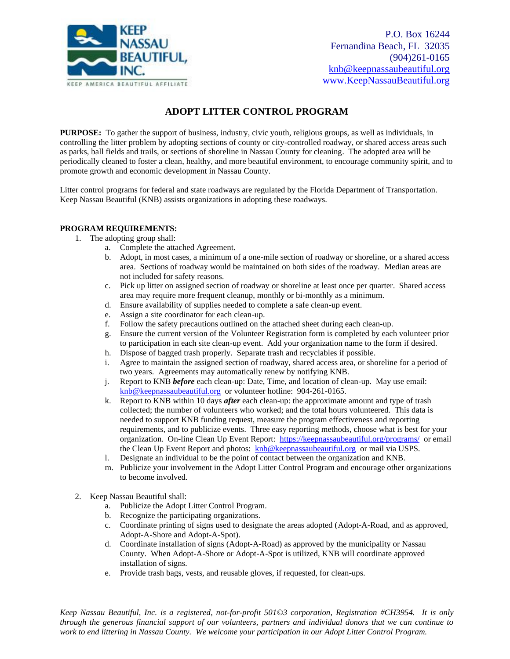

P.O. Box 16244 Fernandina Beach, FL 32035 (904)261-0165 [knb@keepnassaubeautiful.org](mailto:knb@keepnassaubeautiful.org) [www.KeepNassauBeautiful.org](http://www.keepnassaubeautiful.org/)

#### **ADOPT LITTER CONTROL PROGRAM**

**PURPOSE:** To gather the support of business, industry, civic youth, religious groups, as well as individuals, in controlling the litter problem by adopting sections of county or city-controlled roadway, or shared access areas such as parks, ball fields and trails, or sections of shoreline in Nassau County for cleaning. The adopted area will be periodically cleaned to foster a clean, healthy, and more beautiful environment, to encourage community spirit, and to promote growth and economic development in Nassau County.

Litter control programs for federal and state roadways are regulated by the Florida Department of Transportation. Keep Nassau Beautiful (KNB) assists organizations in adopting these roadways.

#### **PROGRAM REQUIREMENTS:**

- 1. The adopting group shall:
	- a. Complete the attached Agreement.
	- b. Adopt, in most cases, a minimum of a one-mile section of roadway or shoreline, or a shared access area. Sections of roadway would be maintained on both sides of the roadway. Median areas are not included for safety reasons.
	- c. Pick up litter on assigned section of roadway or shoreline at least once per quarter. Shared access area may require more frequent cleanup, monthly or bi-monthly as a minimum.
	- d. Ensure availability of supplies needed to complete a safe clean-up event.
	- e. Assign a site coordinator for each clean-up.
	- f. Follow the safety precautions outlined on the attached sheet during each clean-up.
	- g. Ensure the current version of the Volunteer Registration form is completed by each volunteer prior to participation in each site clean-up event. Add your organization name to the form if desired.
	- h. Dispose of bagged trash properly. Separate trash and recyclables if possible.
	- i. Agree to maintain the assigned section of roadway, shared access area, or shoreline for a period of two years. Agreements may automatically renew by notifying KNB.
	- j. Report to KNB *before* each clean-up: Date, Time, and location of clean-up. May use email: [knb@keepnassaubeautiful.org](mailto:knb@keepnassaubeautiful.org) or volunteer hotline: 904-261-0165.
	- k. Report to KNB within 10 days *after* each clean-up: the approximate amount and type of trash collected; the number of volunteers who worked; and the total hours volunteered. This data is needed to support KNB funding request, measure the program effectiveness and reporting requirements, and to publicize events. Three easy reporting methods, choose what is best for your organization. On-line Clean Up Event Report: <https://keepnassaubeautiful.org/programs/>or email the Clean Up Event Report and photos: [knb@keepnassaubeautiful.org](mailto:knb@keepnassaubeautiful.org) or mail via USPS.
	- l. Designate an individual to be the point of contact between the organization and KNB.
	- m. Publicize your involvement in the Adopt Litter Control Program and encourage other organizations to become involved.
- 2. Keep Nassau Beautiful shall:
	- a. Publicize the Adopt Litter Control Program.
	- b. Recognize the participating organizations.
	- c. Coordinate printing of signs used to designate the areas adopted (Adopt-A-Road, and as approved, Adopt-A-Shore and Adopt-A-Spot).
	- d. Coordinate installation of signs (Adopt-A-Road) as approved by the municipality or Nassau County. When Adopt-A-Shore or Adopt-A-Spot is utilized, KNB will coordinate approved installation of signs.
	- e. Provide trash bags, vests, and reusable gloves, if requested, for clean-ups.

*Keep Nassau Beautiful, Inc. is a registered, not-for-profit 501©3 corporation, Registration #CH3954. It is only through the generous financial support of our volunteers, partners and individual donors that we can continue to work to end littering in Nassau County. We welcome your participation in our Adopt Litter Control Program.*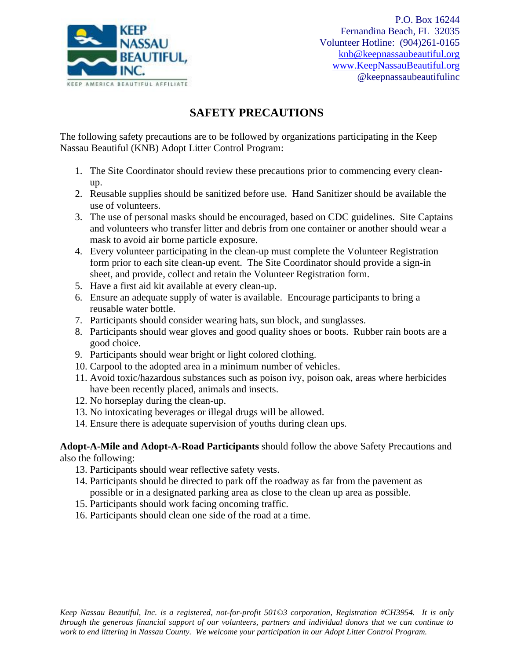

# **SAFETY PRECAUTIONS**

The following safety precautions are to be followed by organizations participating in the Keep Nassau Beautiful (KNB) Adopt Litter Control Program:

- 1. The Site Coordinator should review these precautions prior to commencing every cleanup.
- 2. Reusable supplies should be sanitized before use. Hand Sanitizer should be available the use of volunteers.
- 3. The use of personal masks should be encouraged, based on CDC guidelines. Site Captains and volunteers who transfer litter and debris from one container or another should wear a mask to avoid air borne particle exposure.
- 4. Every volunteer participating in the clean-up must complete the Volunteer Registration form prior to each site clean-up event. The Site Coordinator should provide a sign-in sheet, and provide, collect and retain the Volunteer Registration form.
- 5. Have a first aid kit available at every clean-up.
- 6. Ensure an adequate supply of water is available. Encourage participants to bring a reusable water bottle.
- 7. Participants should consider wearing hats, sun block, and sunglasses.
- 8. Participants should wear gloves and good quality shoes or boots. Rubber rain boots are a good choice.
- 9. Participants should wear bright or light colored clothing.
- 10. Carpool to the adopted area in a minimum number of vehicles.
- 11. Avoid toxic/hazardous substances such as poison ivy, poison oak, areas where herbicides have been recently placed, animals and insects.
- 12. No horseplay during the clean-up.
- 13. No intoxicating beverages or illegal drugs will be allowed.
- 14. Ensure there is adequate supervision of youths during clean ups.

**Adopt-A-Mile and Adopt-A-Road Participants** should follow the above Safety Precautions and also the following:

- 13. Participants should wear reflective safety vests.
- 14. Participants should be directed to park off the roadway as far from the pavement as possible or in a designated parking area as close to the clean up area as possible.
- 15. Participants should work facing oncoming traffic.
- 16. Participants should clean one side of the road at a time.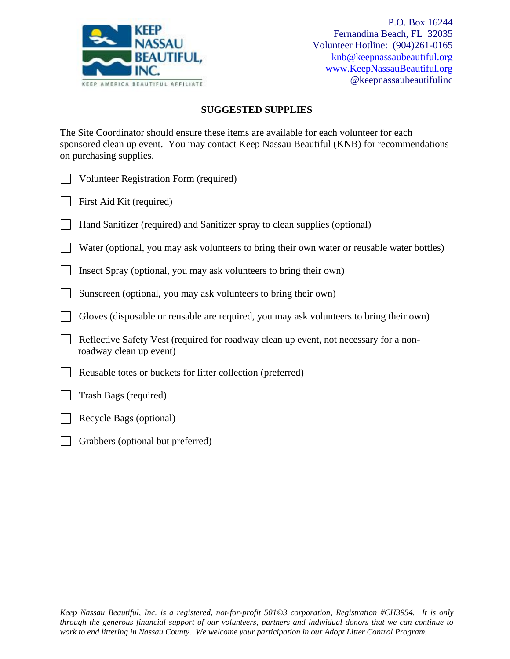

#### **SUGGESTED SUPPLIES**

The Site Coordinator should ensure these items are available for each volunteer for each sponsored clean up event. You may contact Keep Nassau Beautiful (KNB) for recommendations on purchasing supplies.

| J Volunteer Registration Form (required) |  |
|------------------------------------------|--|
|                                          |  |

- First Aid Kit (required)
- Hand Sanitizer (required) and Sanitizer spray to clean supplies (optional)

 Water (optional, you may ask volunteers to bring their own water or reusable water bottles)  $\mathbf{L}$ 

Insect Spray (optional, you may ask volunteers to bring their own)

- Sunscreen (optional, you may ask volunteers to bring their own)
- Gloves (disposable or reusable are required, you may ask volunteers to bring their own)  $\Box$
- Reflective Safety Vest (required for roadway clean up event, not necessary for a nonroadway clean up event)
- Reusable totes or buckets for litter collection (preferred)
- Trash Bags (required)
- Recycle Bags (optional)
- Grabbers (optional but preferred)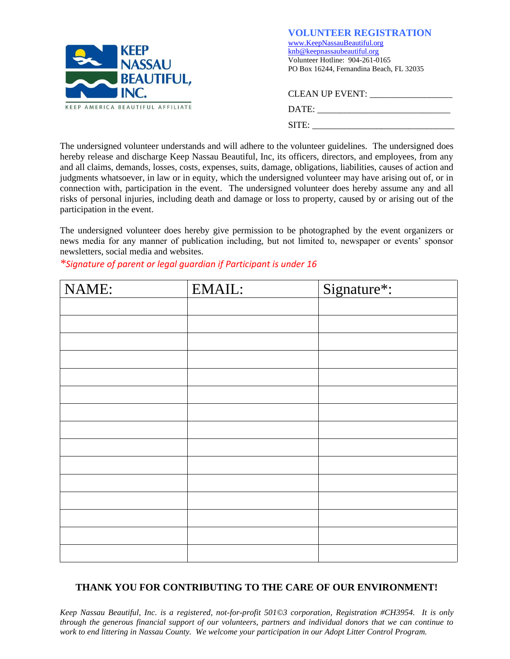

**VOLUNTEER REGISTRATION** [www.KeepNassauBeautiful.org](http://www.keepnassaubeautiful.org/)  [knb@keepnassaubeautiful.org](mailto:knb@keepnassaubeautiful.org) Volunteer Hotline: 904-261-0165 PO Box 16244, Fernandina Beach, FL 32035

| <b>CLEAN UP EVENT:</b> |
|------------------------|
| DATE:                  |
| SITE:                  |

The undersigned volunteer understands and will adhere to the volunteer guidelines. The undersigned does hereby release and discharge Keep Nassau Beautiful, Inc, its officers, directors, and employees, from any and all claims, demands, losses, costs, expenses, suits, damage, obligations, liabilities, causes of action and judgments whatsoever, in law or in equity, which the undersigned volunteer may have arising out of, or in connection with, participation in the event. The undersigned volunteer does hereby assume any and all risks of personal injuries, including death and damage or loss to property, caused by or arising out of the participation in the event.

The undersigned volunteer does hereby give permission to be photographed by the event organizers or news media for any manner of publication including, but not limited to, newspaper or events' sponsor newsletters, social media and websites.

| NAME: | EMAIL: | Signature*: |
|-------|--------|-------------|
|       |        |             |
|       |        |             |
|       |        |             |
|       |        |             |
|       |        |             |
|       |        |             |
|       |        |             |
|       |        |             |
|       |        |             |
|       |        |             |
|       |        |             |
|       |        |             |
|       |        |             |
|       |        |             |
|       |        |             |

*\*Signature of parent or legal guardian if Participant is under 16*

### **THANK YOU FOR CONTRIBUTING TO THE CARE OF OUR ENVIRONMENT!**

*Keep Nassau Beautiful, Inc. is a registered, not-for-profit 501©3 corporation, Registration #CH3954. It is only through the generous financial support of our volunteers, partners and individual donors that we can continue to work to end littering in Nassau County. We welcome your participation in our Adopt Litter Control Program.*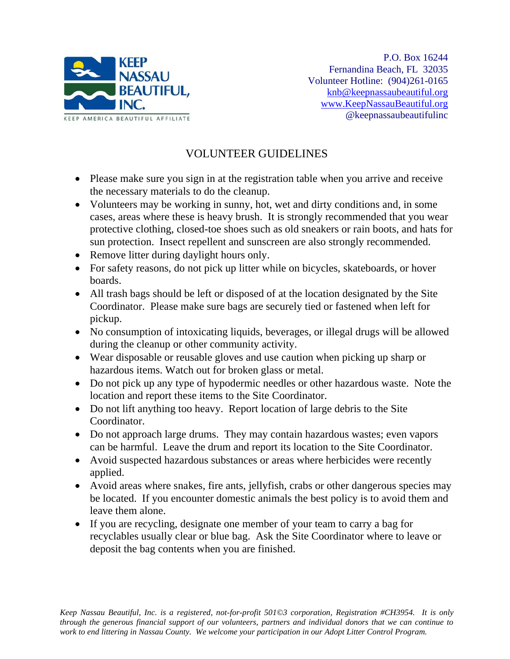

# VOLUNTEER GUIDELINES

- Please make sure you sign in at the registration table when you arrive and receive the necessary materials to do the cleanup.
- Volunteers may be working in sunny, hot, wet and dirty conditions and, in some cases, areas where these is heavy brush. It is strongly recommended that you wear protective clothing, closed-toe shoes such as old sneakers or rain boots, and hats for sun protection. Insect repellent and sunscreen are also strongly recommended.
- Remove litter during daylight hours only.
- For safety reasons, do not pick up litter while on bicycles, skateboards, or hover boards.
- All trash bags should be left or disposed of at the location designated by the Site Coordinator. Please make sure bags are securely tied or fastened when left for pickup.
- No consumption of intoxicating liquids, beverages, or illegal drugs will be allowed during the cleanup or other community activity.
- Wear disposable or reusable gloves and use caution when picking up sharp or hazardous items. Watch out for broken glass or metal.
- Do not pick up any type of hypodermic needles or other hazardous waste. Note the location and report these items to the Site Coordinator.
- Do not lift anything too heavy. Report location of large debris to the Site Coordinator.
- Do not approach large drums. They may contain hazardous wastes; even vapors can be harmful. Leave the drum and report its location to the Site Coordinator.
- Avoid suspected hazardous substances or areas where herbicides were recently applied.
- Avoid areas where snakes, fire ants, jellyfish, crabs or other dangerous species may be located. If you encounter domestic animals the best policy is to avoid them and leave them alone.
- If you are recycling, designate one member of your team to carry a bag for recyclables usually clear or blue bag. Ask the Site Coordinator where to leave or deposit the bag contents when you are finished.